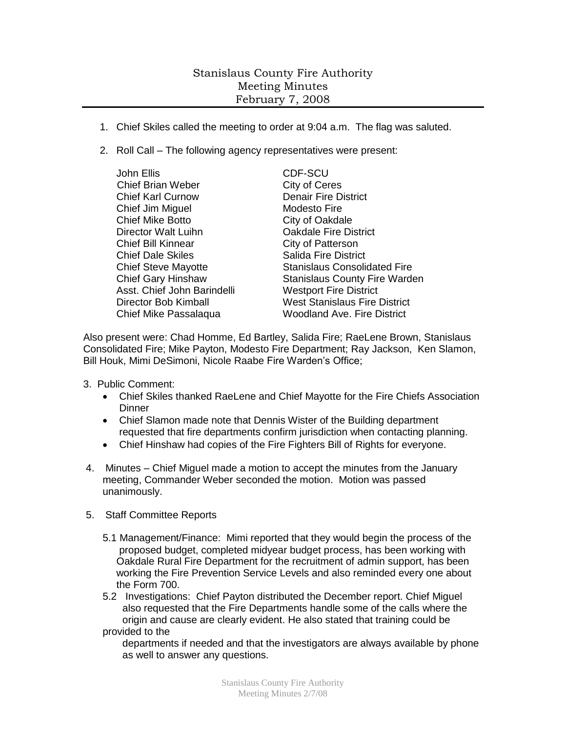## Stanislaus County Fire Authority Meeting Minutes February 7, 2008

- 1. Chief Skiles called the meeting to order at 9:04 a.m. The flag was saluted.
- 2. Roll Call The following agency representatives were present:

| John Ellis                  | <b>CDF-SCU</b>                       |
|-----------------------------|--------------------------------------|
| <b>Chief Brian Weber</b>    | City of Ceres                        |
| <b>Chief Karl Curnow</b>    | <b>Denair Fire District</b>          |
| Chief Jim Miguel            | Modesto Fire                         |
| <b>Chief Mike Botto</b>     | City of Oakdale                      |
| Director Walt Luihn         | <b>Oakdale Fire District</b>         |
| <b>Chief Bill Kinnear</b>   | City of Patterson                    |
| <b>Chief Dale Skiles</b>    | <b>Salida Fire District</b>          |
| <b>Chief Steve Mayotte</b>  | <b>Stanislaus Consolidated Fire</b>  |
| <b>Chief Gary Hinshaw</b>   | <b>Stanislaus County Fire Warden</b> |
| Asst. Chief John Barindelli | <b>Westport Fire District</b>        |
| Director Bob Kimball        | <b>West Stanislaus Fire District</b> |
| Chief Mike Passalaqua       | <b>Woodland Ave. Fire District</b>   |

Also present were: Chad Homme, Ed Bartley, Salida Fire; RaeLene Brown, Stanislaus Consolidated Fire; Mike Payton, Modesto Fire Department; Ray Jackson, Ken Slamon, Bill Houk, Mimi DeSimoni, Nicole Raabe Fire Warden's Office;

- 3. Public Comment:
	- Chief Skiles thanked RaeLene and Chief Mayotte for the Fire Chiefs Association **Dinner**
	- Chief Slamon made note that Dennis Wister of the Building department requested that fire departments confirm jurisdiction when contacting planning.
	- Chief Hinshaw had copies of the Fire Fighters Bill of Rights for everyone.
- 4. Minutes Chief Miguel made a motion to accept the minutes from the January meeting, Commander Weber seconded the motion. Motion was passed unanimously.
- 5. Staff Committee Reports
	- 5.1 Management/Finance: Mimi reported that they would begin the process of the proposed budget, completed midyear budget process, has been working with Oakdale Rural Fire Department for the recruitment of admin support, has been working the Fire Prevention Service Levels and also reminded every one about the Form 700.
	- 5.2 Investigations: Chief Payton distributed the December report. Chief Miguel also requested that the Fire Departments handle some of the calls where the origin and cause are clearly evident. He also stated that training could be provided to the

 departments if needed and that the investigators are always available by phone as well to answer any questions.